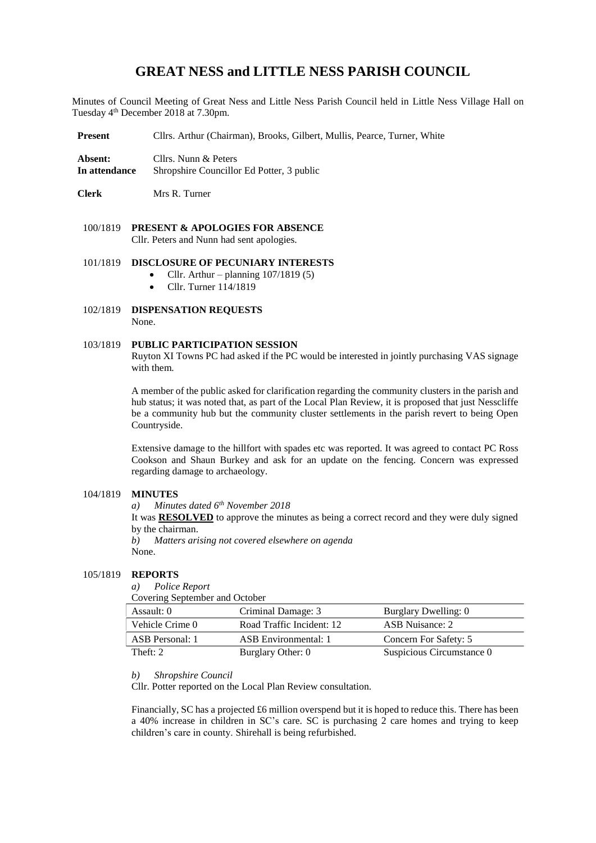## **GREAT NESS and LITTLE NESS PARISH COUNCIL**

Minutes of Council Meeting of Great Ness and Little Ness Parish Council held in Little Ness Village Hall on Tuesday 4<sup>th</sup> December 2018 at 7.30pm.

**Present** Cllrs. Arthur (Chairman), Brooks, Gilbert, Mullis, Pearce, Turner, White

- **Absent:** Cllrs. Nunn & Peters **In attendance** Shropshire Councillor Ed Potter, 3 public
- **Clerk** Mrs R. Turner
- 100/1819 **PRESENT & APOLOGIES FOR ABSENCE**  Cllr. Peters and Nunn had sent apologies.

## 101/1819 **DISCLOSURE OF PECUNIARY INTERESTS**

- Cllr. Arthur planning  $107/1819(5)$
- Cllr. Turner 114/1819
- 102/1819 **DISPENSATION REQUESTS** None.

#### 103/1819 **PUBLIC PARTICIPATION SESSION**

Ruyton XI Towns PC had asked if the PC would be interested in jointly purchasing VAS signage with them.

A member of the public asked for clarification regarding the community clusters in the parish and hub status; it was noted that, as part of the Local Plan Review, it is proposed that just Nesscliffe be a community hub but the community cluster settlements in the parish revert to being Open Countryside.

Extensive damage to the hillfort with spades etc was reported. It was agreed to contact PC Ross Cookson and Shaun Burkey and ask for an update on the fencing. Concern was expressed regarding damage to archaeology.

#### 104/1819 **MINUTES**

*a) Minutes dated 6th November 2018*

It was **RESOLVED** to approve the minutes as being a correct record and they were duly signed by the chairman.

*b) Matters arising not covered elsewhere on agenda* None.

## 105/1819 **REPORTS**

*a) Police Report* 

| Covering September and October |                           |                      |  |
|--------------------------------|---------------------------|----------------------|--|
| ∣ Assault: 0                   | Criminal Damage: 3        | Burglary Dwelling: 0 |  |
| Vehicle Crime 0                | Road Traffic Incident: 12 | ASB Nuisance: 2      |  |

| лээаш. о        | $C$ miniai Damago. J        | $\mu$ u giar y $\nu$ weining. $\sigma$ |
|-----------------|-----------------------------|----------------------------------------|
| Vehicle Crime 0 | Road Traffic Incident: 12   | ASB Nuisance: 2                        |
| ASB Personal: 1 | <b>ASB</b> Environmental: 1 | Concern For Safety: 5                  |
| Theft: 2        | Burglary Other: 0           | Suspicious Circumstance 0              |

*b) Shropshire Council* 

Cllr. Potter reported on the Local Plan Review consultation.

Financially, SC has a projected £6 million overspend but it is hoped to reduce this. There has been a 40% increase in children in SC's care. SC is purchasing 2 care homes and trying to keep children's care in county. Shirehall is being refurbished.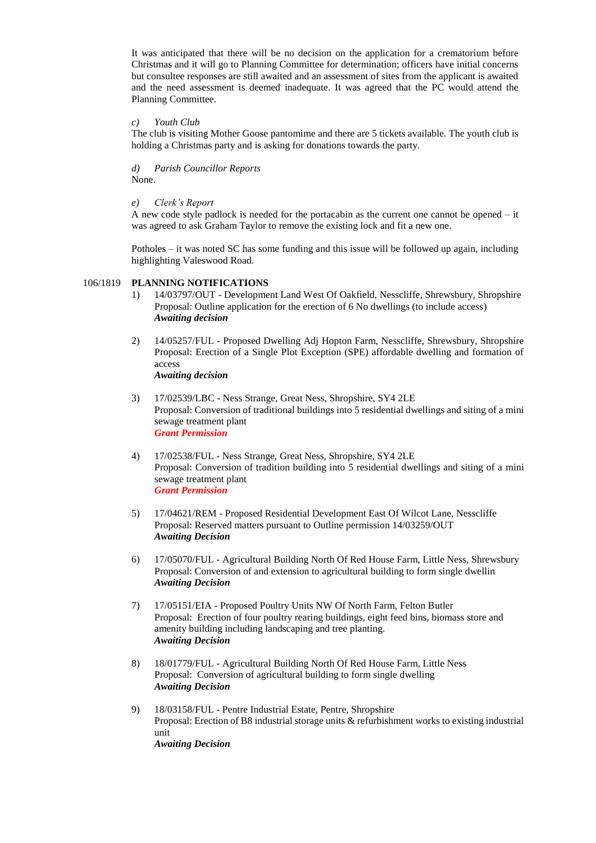It was anticipated that there will be no decision on the application for a crematorium before Christmas and it will go to Planning Committee for determination; officers have initial concerns but consultee responses are still awaited and an assessment of sites from the applicant is awaited and the need assessment is deemed inadequate. It was agreed that the PC would attend the Planning Committee.

## *c) Youth Club*

The club is visiting Mother Goose pantomime and there are 5 tickets available. The youth club is holding a Christmas party and is asking for donations towards the party.

# *d) Parish Councillor Reports*

None.

## *e) Clerk's Report*

A new code style padlock is needed for the portacabin as the current one cannot be opened – it was agreed to ask Graham Taylor to remove the existing lock and fit a new one.

Potholes – it was noted SC has some funding and this issue will be followed up again, including highlighting Valeswood Road.

## 106/1819 **PLANNING NOTIFICATIONS**

- 1) 14/03797/OUT Development Land West Of Oakfield, Nesscliffe, Shrewsbury, Shropshire Proposal: Outline application for the erection of 6 No dwellings (to include access) *Awaiting decision*
- 2) 14/05257/FUL Proposed Dwelling Adj Hopton Farm, Nesscliffe, Shrewsbury, Shropshire Proposal: Erection of a Single Plot Exception (SPE) affordable dwelling and formation of access *Awaiting decision*
- 3) 17/02539/LBC Ness Strange, Great Ness, Shropshire, SY4 2LE Proposal: Conversion of traditional buildings into 5 residential dwellings and siting of a mini sewage treatment plant *Grant Permission*
- 4) 17/02538/FUL Ness Strange, Great Ness, Shropshire, SY4 2LE Proposal: Conversion of tradition building into 5 residential dwellings and siting of a mini sewage treatment plant *Grant Permission*
- 5) 17/04621/REM Proposed Residential Development East Of Wilcot Lane, Nesscliffe Proposal: Reserved matters pursuant to Outline permission 14/03259/OUT *Awaiting Decision*
- 6) 17/05070/FUL Agricultural Building North Of Red House Farm, Little Ness, Shrewsbury Proposal: Conversion of and extension to agricultural building to form single dwellin *Awaiting Decision*
- 7) 17/05151/EIA Proposed Poultry Units NW Of North Farm, Felton Butler Proposal: Erection of four poultry rearing buildings, eight feed bins, biomass store and amenity building including landscaping and tree planting. *Awaiting Decision*
- 8) 18/01779/FUL Agricultural Building North Of Red House Farm, Little Ness Proposal: Conversion of agricultural building to form single dwelling *Awaiting Decision*
- 9) 18/03158/FUL Pentre Industrial Estate, Pentre, Shropshire Proposal: Erection of B8 industrial storage units & refurbishment works to existing industrial unit *Awaiting Decision*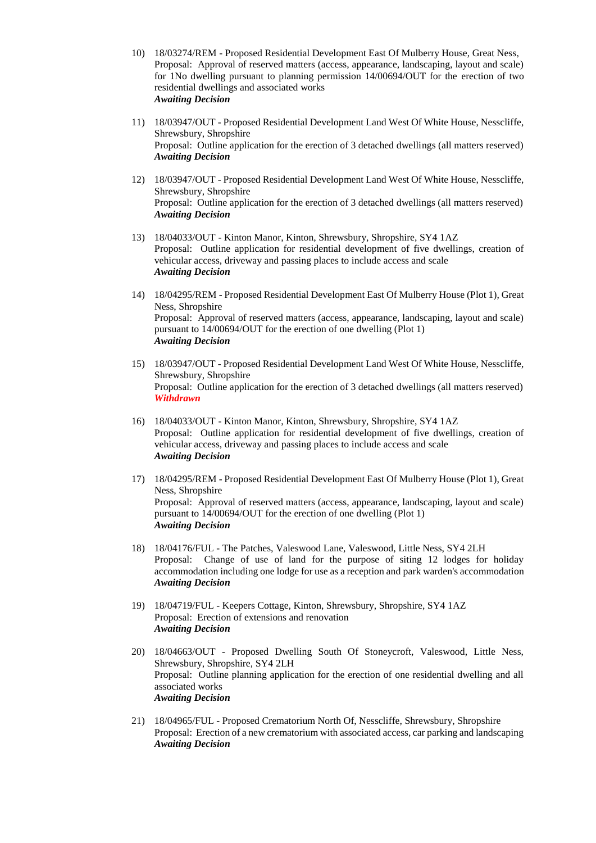- 10) 18/03274/REM Proposed Residential Development East Of Mulberry House, Great Ness, Proposal: Approval of reserved matters (access, appearance, landscaping, layout and scale) for 1No dwelling pursuant to planning permission 14/00694/OUT for the erection of two residential dwellings and associated works *Awaiting Decision*
- 11) 18/03947/OUT Proposed Residential Development Land West Of White House, Nesscliffe, Shrewsbury, Shropshire Proposal: Outline application for the erection of 3 detached dwellings (all matters reserved) *Awaiting Decision*
- 12) 18/03947/OUT Proposed Residential Development Land West Of White House, Nesscliffe, Shrewsbury, Shropshire Proposal: Outline application for the erection of 3 detached dwellings (all matters reserved) *Awaiting Decision*
- 13) 18/04033/OUT Kinton Manor, Kinton, Shrewsbury, Shropshire, SY4 1AZ Proposal: Outline application for residential development of five dwellings, creation of vehicular access, driveway and passing places to include access and scale *Awaiting Decision*
- 14) 18/04295/REM Proposed Residential Development East Of Mulberry House (Plot 1), Great Ness, Shropshire Proposal: Approval of reserved matters (access, appearance, landscaping, layout and scale) pursuant to 14/00694/OUT for the erection of one dwelling (Plot 1) *Awaiting Decision*
- 15) 18/03947/OUT Proposed Residential Development Land West Of White House, Nesscliffe, Shrewsbury, Shropshire Proposal: Outline application for the erection of 3 detached dwellings (all matters reserved) *Withdrawn*
- 16) 18/04033/OUT Kinton Manor, Kinton, Shrewsbury, Shropshire, SY4 1AZ Proposal: Outline application for residential development of five dwellings, creation of vehicular access, driveway and passing places to include access and scale *Awaiting Decision*
- 17) 18/04295/REM Proposed Residential Development East Of Mulberry House (Plot 1), Great Ness, Shropshire Proposal: Approval of reserved matters (access, appearance, landscaping, layout and scale) pursuant to 14/00694/OUT for the erection of one dwelling (Plot 1) *Awaiting Decision*
- 18) 18/04176/FUL The Patches, Valeswood Lane, Valeswood, Little Ness, SY4 2LH Proposal: Change of use of land for the purpose of siting 12 lodges for holiday accommodation including one lodge for use as a reception and park warden's accommodation *Awaiting Decision*
- 19) 18/04719/FUL Keepers Cottage, Kinton, Shrewsbury, Shropshire, SY4 1AZ Proposal: Erection of extensions and renovation *Awaiting Decision*
- 20) 18/04663/OUT Proposed Dwelling South Of Stoneycroft, Valeswood, Little Ness, Shrewsbury, Shropshire, SY4 2LH Proposal: Outline planning application for the erection of one residential dwelling and all associated works *Awaiting Decision*
- 21) 18/04965/FUL Proposed Crematorium North Of, Nesscliffe, Shrewsbury, Shropshire Proposal: Erection of a new crematorium with associated access, car parking and landscaping *Awaiting Decision*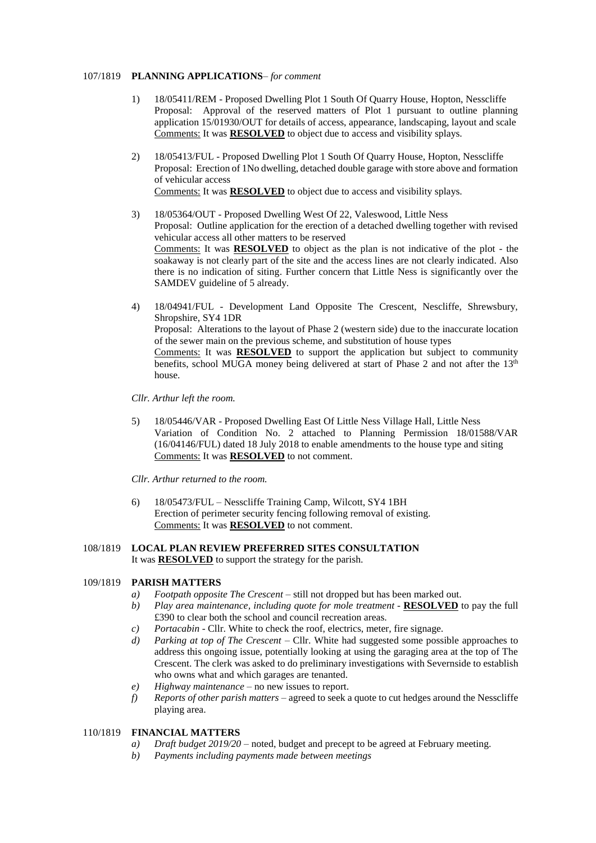## 107/1819 **PLANNING APPLICATIONS**– *for comment*

- 1) 18/05411/REM Proposed Dwelling Plot 1 South Of Quarry House, Hopton, Nesscliffe Proposal: Approval of the reserved matters of Plot 1 pursuant to outline planning application 15/01930/OUT for details of access, appearance, landscaping, layout and scale Comments: It was **RESOLVED** to object due to access and visibility splays.
- 2) 18/05413/FUL Proposed Dwelling Plot 1 South Of Quarry House, Hopton, Nesscliffe Proposal: Erection of 1No dwelling, detached double garage with store above and formation of vehicular access Comments: It was **RESOLVED** to object due to access and visibility splays.
- 3) 18/05364/OUT Proposed Dwelling West Of 22, Valeswood, Little Ness Proposal: Outline application for the erection of a detached dwelling together with revised vehicular access all other matters to be reserved Comments: It was **RESOLVED** to object as the plan is not indicative of the plot - the soakaway is not clearly part of the site and the access lines are not clearly indicated. Also there is no indication of siting. Further concern that Little Ness is significantly over the SAMDEV guideline of 5 already.
- 4) 18/04941/FUL Development Land Opposite The Crescent, Nescliffe, Shrewsbury, Shropshire, SY4 1DR Proposal: Alterations to the layout of Phase 2 (western side) due to the inaccurate location of the sewer main on the previous scheme, and substitution of house types Comments: It was **RESOLVED** to support the application but subject to community benefits, school MUGA money being delivered at start of Phase 2 and not after the 13<sup>th</sup> house.

*Cllr. Arthur left the room.*

5) 18/05446/VAR - Proposed Dwelling East Of Little Ness Village Hall, Little Ness Variation of Condition No. 2 attached to Planning Permission 18/01588/VAR (16/04146/FUL) dated 18 July 2018 to enable amendments to the house type and siting Comments: It was **RESOLVED** to not comment.

*Cllr. Arthur returned to the room.*

6) 18/05473/FUL – Nesscliffe Training Camp, Wilcott, SY4 1BH Erection of perimeter security fencing following removal of existing. Comments: It was **RESOLVED** to not comment.

## 108/1819 **LOCAL PLAN REVIEW PREFERRED SITES CONSULTATION** It was **RESOLVED** to support the strategy for the parish.

## 109/1819 **PARISH MATTERS**

- *a) Footpath opposite The Crescent* still not dropped but has been marked out.
- *b) Play area maintenance, including quote for mole treatment -* **RESOLVED** to pay the full £390 to clear both the school and council recreation areas.
- *c) Portacabin -* Cllr. White to check the roof, electrics, meter, fire signage.
- *d) Parking at top of The Crescent* Cllr. White had suggested some possible approaches to address this ongoing issue, potentially looking at using the garaging area at the top of The Crescent. The clerk was asked to do preliminary investigations with Severnside to establish who owns what and which garages are tenanted.
- *e) Highway maintenance* no new issues to report.
- *f) Reports of other parish matters* agreed to seek a quote to cut hedges around the Nesscliffe playing area.

## 110/1819 **FINANCIAL MATTERS**

- *a) Draft budget 2019/20* noted, budget and precept to be agreed at February meeting.
- *b) Payments including payments made between meetings*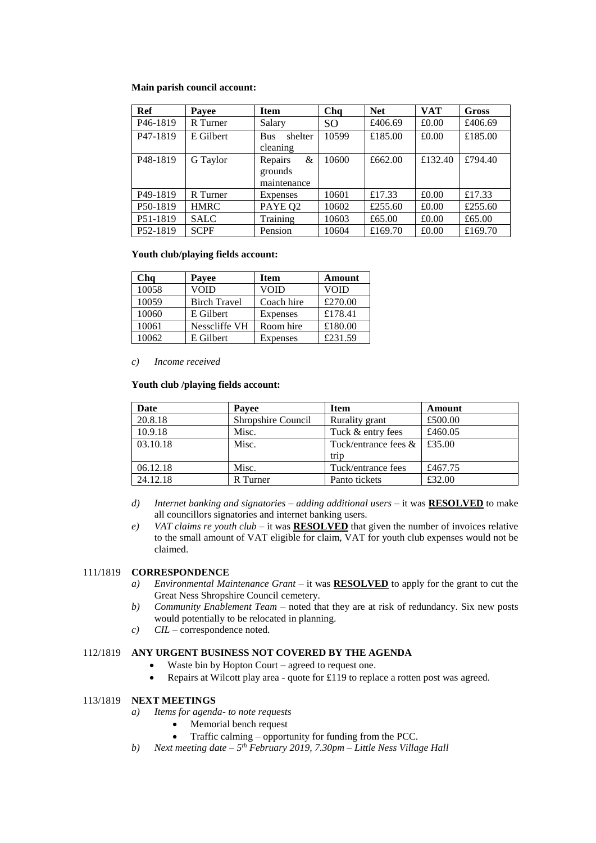## **Main parish council account:**

| Ref                   | Payee       | <b>Item</b>                            | Chq   | <b>Net</b> | <b>VAT</b> | <b>Gross</b> |
|-----------------------|-------------|----------------------------------------|-------|------------|------------|--------------|
| P <sub>46</sub> -1819 | R Turner    | Salary                                 | SO    | £406.69    | £0.00      | £406.69      |
| P <sub>47</sub> -1819 | E Gilbert   | shelter<br><b>Bus</b><br>cleaning      | 10599 | £185.00    | £0.00      | £185.00      |
| P <sub>48</sub> -1819 | G Taylor    | &<br>Repairs<br>grounds<br>maintenance | 10600 | £662.00    | £132.40    | £794.40      |
| P <sub>49</sub> -1819 | R Turner    | Expenses                               | 10601 | £17.33     | £0.00      | £17.33       |
| P50-1819              | <b>HMRC</b> | PAYE Q2                                | 10602 | £255.60    | £0.00      | £255.60      |
| P <sub>51</sub> -1819 | <b>SALC</b> | Training                               | 10603 | £65.00     | £0.00      | £65.00       |
| P <sub>52</sub> -1819 | <b>SCPF</b> | Pension                                | 10604 | £169.70    | £0.00      | £169.70      |

## **Youth club/playing fields account:**

| Cha   | Payee               | Item       | <b>Amount</b> |
|-------|---------------------|------------|---------------|
| 10058 | VOID                | VOID       | VOID          |
| 10059 | <b>Birch Travel</b> | Coach hire | £270.00       |
| 10060 | E Gilbert           | Expenses   | £178.41       |
| 10061 | Nesscliffe VH       | Room hire  | £180.00       |
| 10062 | E Gilbert           | Expenses   | £231.59       |

#### *c) Income received*

#### **Youth club /playing fields account:**

| Date     | Payee              | <b>Item</b>          | Amount  |
|----------|--------------------|----------------------|---------|
| 20.8.18  | Shropshire Council | Rurality grant       | £500.00 |
| 10.9.18  | Misc.              | Tuck & entry fees    | £460.05 |
| 03.10.18 | Misc.              | Tuck/entrance fees & | £35.00  |
|          |                    | trip                 |         |
| 06.12.18 | Misc.              | Tuck/entrance fees   | £467.75 |
| 24.12.18 | R Turner           | Panto tickets        | £32.00  |

- *d) Internet banking and signatories – adding additional users* it was **RESOLVED** to make all councillors signatories and internet banking users.
- *e) VAT claims re youth club* it was **RESOLVED** that given the number of invoices relative to the small amount of VAT eligible for claim, VAT for youth club expenses would not be claimed.

## 111/1819 **CORRESPONDENCE**

- *a) Environmental Maintenance Grant*  it was **RESOLVED** to apply for the grant to cut the Great Ness Shropshire Council cemetery.
- *b) Community Enablement Team* noted that they are at risk of redundancy. Six new posts would potentially to be relocated in planning.
- *c) CIL* correspondence noted.

## 112/1819 **ANY URGENT BUSINESS NOT COVERED BY THE AGENDA**

- Waste bin by Hopton Court agreed to request one.
- Repairs at Wilcott play area quote for £119 to replace a rotten post was agreed.

## 113/1819 **NEXT MEETINGS**

- *a) Items for agenda- to note requests*
	- Memorial bench request
	- Traffic calming opportunity for funding from the PCC.
- *b) Next meeting date – 5 th February 2019, 7.30pm – Little Ness Village Hall*